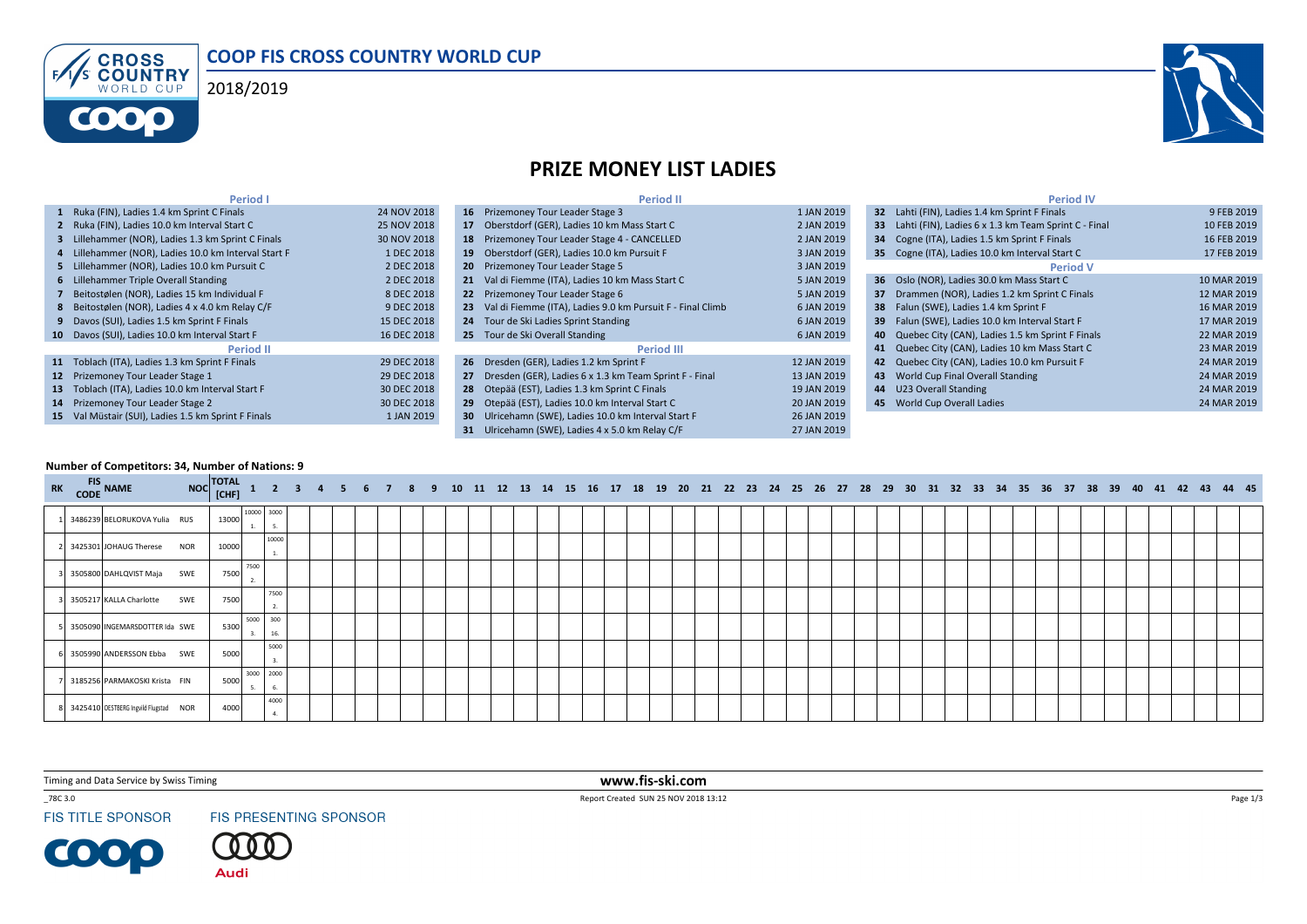





## PRIZE MONEY LIST LADIES

| <b>Period I</b>                                      |             | <b>Period II</b>                                              |             | <b>Period IV</b>                                        |             |
|------------------------------------------------------|-------------|---------------------------------------------------------------|-------------|---------------------------------------------------------|-------------|
| 1 Ruka (FIN), Ladies 1.4 km Sprint C Finals          | 24 NOV 2018 | 16 Prizemoney Tour Leader Stage 3                             | 1 JAN 2019  | 32 Lahti (FIN), Ladies 1.4 km Sprint F Finals           | 9 FEB 2019  |
| 2 Ruka (FIN), Ladies 10.0 km Interval Start C        | 25 NOV 2018 | 17 Oberstdorf (GER), Ladies 10 km Mass Start C                | 2 JAN 2019  | 33 Lahti (FIN), Ladies 6 x 1.3 km Team Sprint C - Final | 10 FEB 2019 |
| 3 Lillehammer (NOR), Ladies 1.3 km Sprint C Finals   | 30 NOV 2018 | 18 Prizemoney Tour Leader Stage 4 - CANCELLED                 | 2 JAN 2019  | 34 Cogne (ITA), Ladies 1.5 km Sprint F Finals           | 16 FEB 2019 |
| 4 Lillehammer (NOR), Ladies 10.0 km Interval Start F | 1 DEC 2018  | 19 Oberstdorf (GER), Ladies 10.0 km Pursuit F                 | 3 JAN 2019  | 35 Cogne (ITA), Ladies 10.0 km Interval Start C         | 17 FEB 2019 |
| 5 Lillehammer (NOR), Ladies 10.0 km Pursuit C        | 2 DEC 2018  | 20 Prizemoney Tour Leader Stage 5                             | 3 JAN 2019  | <b>Period V</b>                                         |             |
| 6 Lillehammer Triple Overall Standing                | 2 DEC 2018  | 21 Val di Fiemme (ITA), Ladies 10 km Mass Start C             | 5 JAN 2019  | 36 Oslo (NOR), Ladies 30.0 km Mass Start C              | 10 MAR 2019 |
| 7 Beitostølen (NOR), Ladies 15 km Individual F       | 8 DEC 2018  | 22 Prizemoney Tour Leader Stage 6                             | 5 JAN 2019  | 37 Drammen (NOR), Ladies 1.2 km Sprint C Finals         | 12 MAR 2019 |
| 8 Beitostølen (NOR), Ladies 4 x 4.0 km Relay C/F     | 9 DEC 2018  | 23 Val di Fiemme (ITA), Ladies 9.0 km Pursuit F - Final Climb | 6 JAN 2019  | 38 Falun (SWE), Ladies 1.4 km Sprint F                  | 16 MAR 2019 |
| 9 Davos (SUI), Ladies 1.5 km Sprint F Finals         | 15 DEC 2018 | 24 Tour de Ski Ladies Sprint Standing                         | 6 JAN 2019  | 39 Falun (SWE), Ladies 10.0 km Interval Start F         | 17 MAR 2019 |
| 10 Davos (SUI), Ladies 10.0 km Interval Start F      | 16 DEC 2018 | 25 Tour de Ski Overall Standing                               | 6 JAN 2019  | 40 Quebec City (CAN), Ladies 1.5 km Sprint F Finals     | 22 MAR 2019 |
| <b>Period II</b>                                     |             | Period III                                                    |             | 41 Quebec City (CAN), Ladies 10 km Mass Start C         | 23 MAR 2019 |
| 11 Toblach (ITA), Ladies 1.3 km Sprint F Finals      | 29 DEC 2018 | 26 Dresden (GER), Ladies 1.2 km Sprint F                      | 12 JAN 2019 | 42 Quebec City (CAN), Ladies 10.0 km Pursuit F          | 24 MAR 2019 |
| 12 Prizemoney Tour Leader Stage 1                    | 29 DEC 2018 | 27 Dresden (GER), Ladies 6 x 1.3 km Team Sprint F - Final     | 13 JAN 2019 | 43 World Cup Final Overall Standing                     | 24 MAR 2019 |
| 13 Toblach (ITA), Ladies 10.0 km Interval Start F    | 30 DEC 2018 | 28 Otepää (EST), Ladies 1.3 km Sprint C Finals                | 19 JAN 2019 | 44 U23 Overall Standing                                 | 24 MAR 2019 |
| 14 Prizemoney Tour Leader Stage 2                    | 30 DEC 2018 | 29 Otepää (EST), Ladies 10.0 km Interval Start C              | 20 JAN 2019 | 45 World Cup Overall Ladies                             | 24 MAR 2019 |
| 15 Val Müstair (SUI), Ladies 1.5 km Sprint F Finals  | 1 JAN 2019  | 30 Ulricehamn (SWE), Ladies 10.0 km Interval Start F          | 26 JAN 2019 |                                                         |             |
|                                                      |             | 31 Ulricehamn (SWE), Ladies 4 x 5.0 km Relay C/F              | 27 JAN 2019 |                                                         |             |

## Number of Competitors: 34, Number of Nations: 9

| RK CODE NAME |                                         | NOC TOTAL 1 2 3 4 5 6 7 8 9 10 11 12 13 14 15 16 17 18 19 20 21 22 23 24 25 26 27 28 29 30 31 32 33 34 35 36 37 38 39 40 41 42 43 44 45 |            |             |    |  |  |  |  |  |  |  |  |  |  |  |  |  |  |  |  |  |  |  |  |  |  |
|--------------|-----------------------------------------|-----------------------------------------------------------------------------------------------------------------------------------------|------------|-------------|----|--|--|--|--|--|--|--|--|--|--|--|--|--|--|--|--|--|--|--|--|--|--|
|              | 3486239 BELORUKOVA Yulia RUS            | 13000                                                                                                                                   | 10000 3000 | 5.          |    |  |  |  |  |  |  |  |  |  |  |  |  |  |  |  |  |  |  |  |  |  |  |
|              | 2 3425301 JOHAUG Therese NOR            | 10000                                                                                                                                   |            | 10000<br>1. |    |  |  |  |  |  |  |  |  |  |  |  |  |  |  |  |  |  |  |  |  |  |  |
|              | 3505800 DAHLQVIST Maja SWE              | 7500                                                                                                                                    | 7500<br>2. |             |    |  |  |  |  |  |  |  |  |  |  |  |  |  |  |  |  |  |  |  |  |  |  |
|              | 3505217 KALLA Charlotte SWE             | 7500                                                                                                                                    |            | 7500        | 2. |  |  |  |  |  |  |  |  |  |  |  |  |  |  |  |  |  |  |  |  |  |  |
|              | 3505090 INGEMARSDOTTER Ida SWE          | 5300                                                                                                                                    | 5000       | 300<br>16.  |    |  |  |  |  |  |  |  |  |  |  |  |  |  |  |  |  |  |  |  |  |  |  |
|              | 3505990 ANDERSSON Ebba SWE              | 5000                                                                                                                                    |            | 5000        |    |  |  |  |  |  |  |  |  |  |  |  |  |  |  |  |  |  |  |  |  |  |  |
|              | 3185256 PARMAKOSKI Krista FIN           | 5000                                                                                                                                    | 3000       | 2000        | 6. |  |  |  |  |  |  |  |  |  |  |  |  |  |  |  |  |  |  |  |  |  |  |
|              | 8 3425410 OESTBERG Ingvild Flugstad NOR | 4000                                                                                                                                    |            | 4000        | 4. |  |  |  |  |  |  |  |  |  |  |  |  |  |  |  |  |  |  |  |  |  |  |

Timing and Data Service by Swiss Timing

\_78C 3.0

**FIS TITLE SPONSOR** 

**COOP** 

FIS PRESENTING SPONSOR



 www.fis-ski.comReport Created SUN 25 NOV 2018 13:12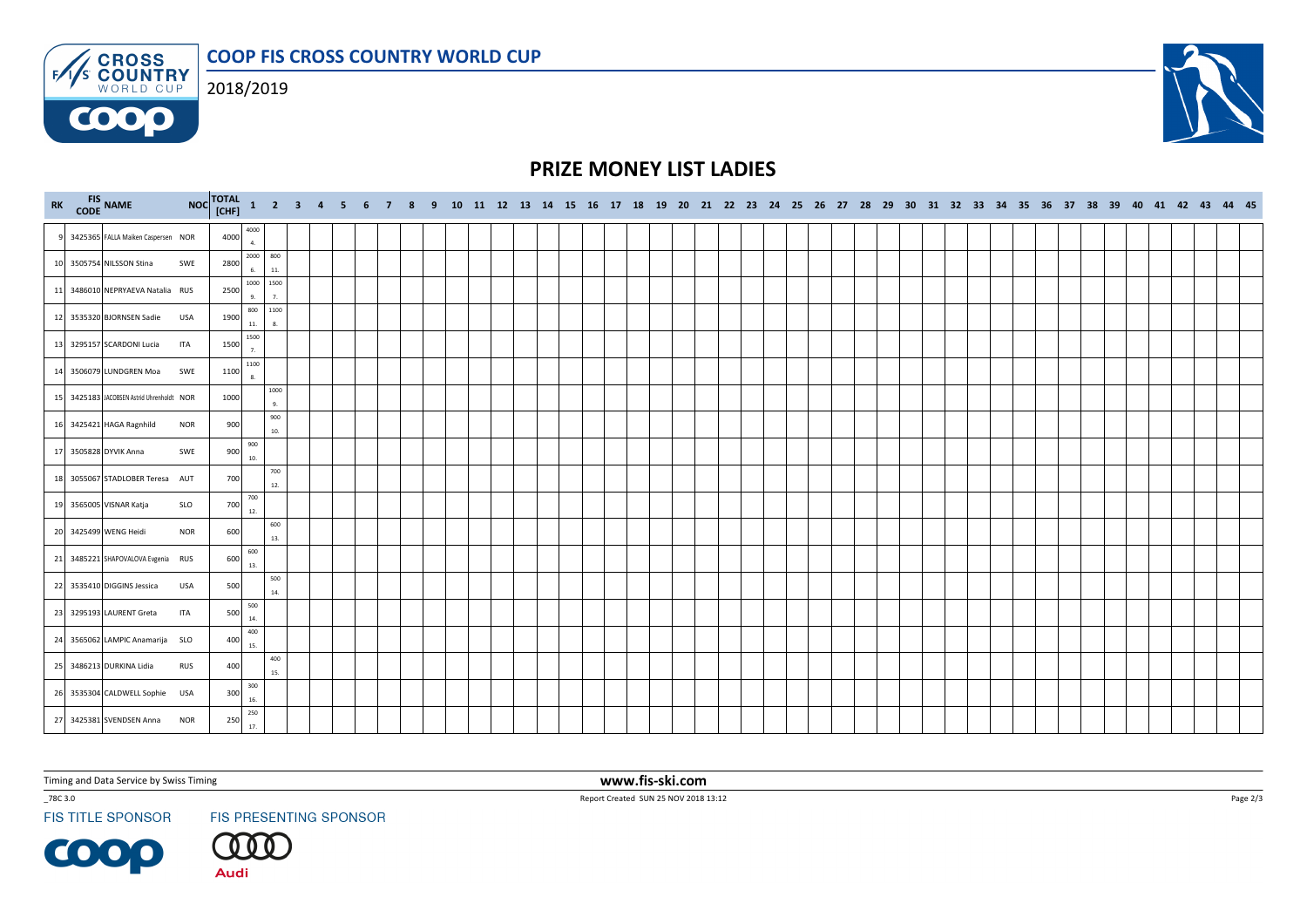COOP FIS CROSS COUNTRY WORLD CUP**ENS CROSS** 



**COOO** 



|  | RK FIS NAME                               |            |      |              |                 |  |  |  |  |  |  |  |  |  |  |  |  |  |  |  |  |  | NOC TOTAL 1 2 3 4 5 6 7 8 9 10 11 12 13 14 15 16 17 18 19 20 21 22 23 24 25 26 27 28 29 30 31 32 33 34 35 36 37 38 39 40 41 42 43 44 45 |  |  |
|--|-------------------------------------------|------------|------|--------------|-----------------|--|--|--|--|--|--|--|--|--|--|--|--|--|--|--|--|--|-----------------------------------------------------------------------------------------------------------------------------------------|--|--|
|  | 9 3425365 FALLA Maiken Caspersen NOR      |            | 4000 | 4000<br>4.   |                 |  |  |  |  |  |  |  |  |  |  |  |  |  |  |  |  |  |                                                                                                                                         |  |  |
|  | 10 3505754 NILSSON Stina                  | SWE        | 2800 | 6.           | 2000 800<br>11. |  |  |  |  |  |  |  |  |  |  |  |  |  |  |  |  |  |                                                                                                                                         |  |  |
|  | 11 3486010 NEPRYAEVA Natalia RUS          |            | 2500 | 9.           | 1000 1500<br>7. |  |  |  |  |  |  |  |  |  |  |  |  |  |  |  |  |  |                                                                                                                                         |  |  |
|  | 12 3535320 BJORNSEN Sadie USA             |            | 1900 | 800<br>$11.$ | 1100<br>8.      |  |  |  |  |  |  |  |  |  |  |  |  |  |  |  |  |  |                                                                                                                                         |  |  |
|  | 13 3295157 SCARDONI Lucia                 | <b>ITA</b> | 1500 | 1500<br>7.   |                 |  |  |  |  |  |  |  |  |  |  |  |  |  |  |  |  |  |                                                                                                                                         |  |  |
|  | 14 3506079 LUNDGREN Moa                   | SWE        | 1100 | 1100<br>8.   |                 |  |  |  |  |  |  |  |  |  |  |  |  |  |  |  |  |  |                                                                                                                                         |  |  |
|  | 15 3425183 JACOBSEN Astrid Uhrenholdt NOR |            | 1000 |              | 1000<br>9.      |  |  |  |  |  |  |  |  |  |  |  |  |  |  |  |  |  |                                                                                                                                         |  |  |
|  | 16 3425421 HAGA Ragnhild                  | <b>NOR</b> | 900  |              | 900<br>10.      |  |  |  |  |  |  |  |  |  |  |  |  |  |  |  |  |  |                                                                                                                                         |  |  |
|  | 17 3505828 DYVIK Anna                     | SWE        | 900  | 900<br>10.   |                 |  |  |  |  |  |  |  |  |  |  |  |  |  |  |  |  |  |                                                                                                                                         |  |  |
|  | 18 3055067 STADLOBER Teresa AUT           |            | 700  |              | 700<br>12.      |  |  |  |  |  |  |  |  |  |  |  |  |  |  |  |  |  |                                                                                                                                         |  |  |
|  | 19 3565005 VISNAR Katja                   | SLO        | 700  | 700<br>12.   |                 |  |  |  |  |  |  |  |  |  |  |  |  |  |  |  |  |  |                                                                                                                                         |  |  |
|  | 20 3425499 WENG Heidi                     | <b>NOR</b> | 600  |              | 600<br>13.      |  |  |  |  |  |  |  |  |  |  |  |  |  |  |  |  |  |                                                                                                                                         |  |  |
|  | 21 3485221 SHAPOVALOVA Evgenia RUS        |            | 600  | 600<br>13.   |                 |  |  |  |  |  |  |  |  |  |  |  |  |  |  |  |  |  |                                                                                                                                         |  |  |
|  | 22 3535410 DIGGINS Jessica                | <b>USA</b> | 500  |              | 500<br>14.      |  |  |  |  |  |  |  |  |  |  |  |  |  |  |  |  |  |                                                                                                                                         |  |  |
|  | 23 3295193 LAURENT Greta                  | ITA        | 500  | 500<br>14.   |                 |  |  |  |  |  |  |  |  |  |  |  |  |  |  |  |  |  |                                                                                                                                         |  |  |
|  | 24 3565062 LAMPIC Anamarija SLO           |            | 400  | 400<br>15.   |                 |  |  |  |  |  |  |  |  |  |  |  |  |  |  |  |  |  |                                                                                                                                         |  |  |
|  | 25 3486213 DURKINA Lidia                  | <b>RUS</b> | 400  |              | 400<br>15.      |  |  |  |  |  |  |  |  |  |  |  |  |  |  |  |  |  |                                                                                                                                         |  |  |
|  | 26 3535304 CALDWELL Sophie USA            |            | 300  | 300<br>16.   |                 |  |  |  |  |  |  |  |  |  |  |  |  |  |  |  |  |  |                                                                                                                                         |  |  |
|  | 27 3425381 SVENDSEN Anna                  | <b>NOR</b> | 250  | 250<br>17.   |                 |  |  |  |  |  |  |  |  |  |  |  |  |  |  |  |  |  |                                                                                                                                         |  |  |

Timing and Data Service by Swiss Timing

\_78C 3.0

**FIS TITLE SPONSOR** 

FIS PRESENTING SPONSOR

00 )

www.fis-ski.com

Page 2/3



**Audi** 

Report Created SUN 25 NOV 2018 13:12